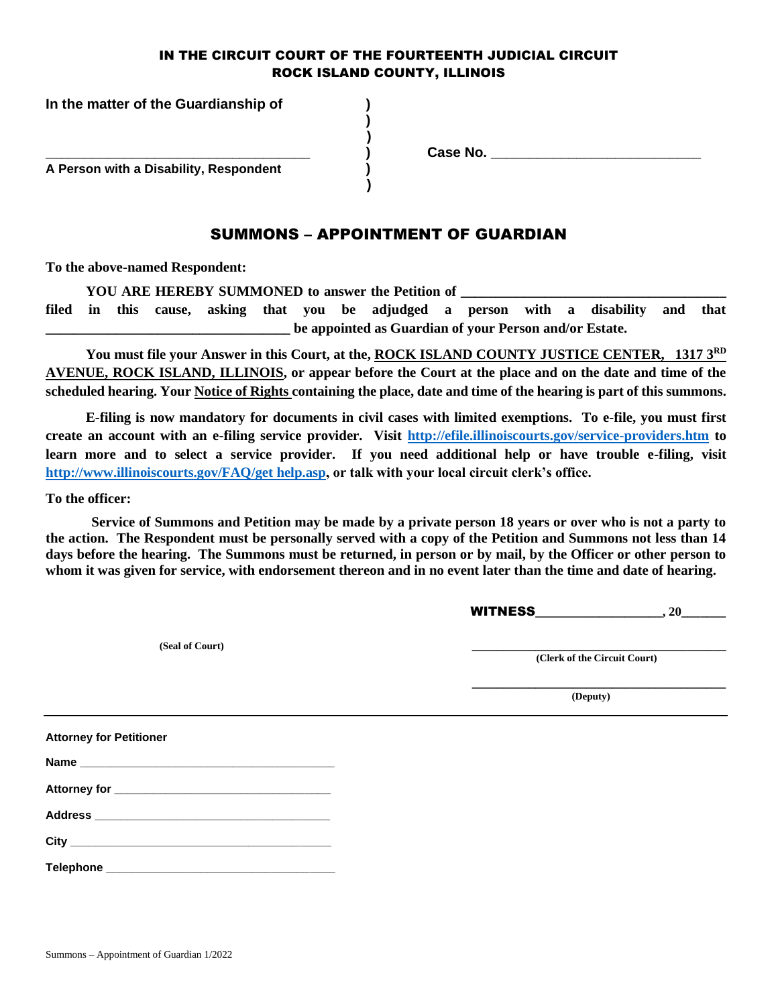#### IN THE CIRCUIT COURT OF THE FOURTEENTH JUDICIAL CIRCUIT ROCK ISLAND COUNTY, ILLINOIS

**) )**

 **)**

**In the matter of the Guardianship of )**

 **A Person with a Disability, Respondent )** 

**\_\_\_\_\_\_\_\_\_\_\_\_\_\_\_\_\_\_\_\_\_\_\_\_\_\_\_\_\_\_\_\_\_\_ ) Case No. \_\_\_\_\_\_\_\_\_\_\_\_\_\_\_\_\_\_\_\_\_\_\_\_\_\_\_**

#### SUMMONS – APPOINTMENT OF GUARDIAN

**To the above-named Respondent:**

YOU ARE HEREBY SUMMONED to answer the Petition of

**filed in this cause, asking that you be adjudged a person with a disability and that \_\_\_\_\_\_\_\_\_\_\_\_\_\_\_\_\_\_\_\_\_\_\_\_\_\_\_\_\_\_\_\_\_\_\_ be appointed as Guardian of your Person and/or Estate.**

**You must file your Answer in this Court, at the, ROCK ISLAND COUNTY JUSTICE CENTER, 1317 3RD AVENUE, ROCK ISLAND, ILLINOIS, or appear before the Court at the place and on the date and time of the scheduled hearing. Your Notice of Rights containing the place, date and time of the hearing is part of this summons.**

**E-filing is now mandatory for documents in civil cases with limited exemptions. To e-file, you must first create an account with an e-filing service provider. Visit<http://efile.illinoiscourts.gov/service-providers.htm> to**  learn more and to select a service provider. If you need additional help or have trouble e-filing, visit **[http://www.illinoiscourts.gov/FAQ/get help.asp,](http://www.illinoiscourts.gov/FAQ/get%20help.asp) or talk with your local circuit clerk's office.**

**To the officer:**

**Service of Summons and Petition may be made by a private person 18 years or over who is not a party to the action. The Respondent must be personally served with a copy of the Petition and Summons not less than 14 days before the hearing. The Summons must be returned, in person or by mail, by the Officer or other person to whom it was given for service, with endorsement thereon and in no event later than the time and date of hearing.**

WITNESS**\_\_\_\_\_\_\_\_\_\_\_\_\_\_\_\_\_\_\_\_, 20\_\_\_\_\_\_\_**

 **(Seal of Court) \_\_\_\_\_\_\_\_\_\_\_\_\_\_\_\_\_\_\_\_\_\_\_\_\_\_\_\_\_\_\_\_\_\_\_\_\_\_\_\_**

 **(Clerk of the Circuit Court)**

**\_\_\_\_\_\_\_\_\_\_\_\_\_\_\_\_\_\_\_\_\_\_\_\_\_\_\_\_\_\_\_\_\_\_\_\_\_\_\_\_ (Deputy)**

**Attorney for Petitioner Name \_\_\_\_\_\_\_\_\_\_\_\_\_\_\_\_\_\_\_\_\_\_\_\_\_\_\_\_\_\_\_\_\_\_\_\_\_\_\_\_**

| <b>Attorney for</b> |  |
|---------------------|--|
|                     |  |

**Address \_\_\_\_\_\_\_\_\_\_\_\_\_\_\_\_\_\_\_\_\_\_\_\_\_\_\_\_\_\_\_\_\_\_\_\_\_**

**City and the contract of the contract of the contract of the contract of the contract of the contract of the contract of the contract of the contract of the contract of the contract of the contract of the contract of th** 

**Telephone \_\_\_\_\_\_\_\_\_\_\_\_\_\_\_\_\_\_\_\_\_\_\_\_\_\_\_\_\_\_\_\_\_\_\_\_**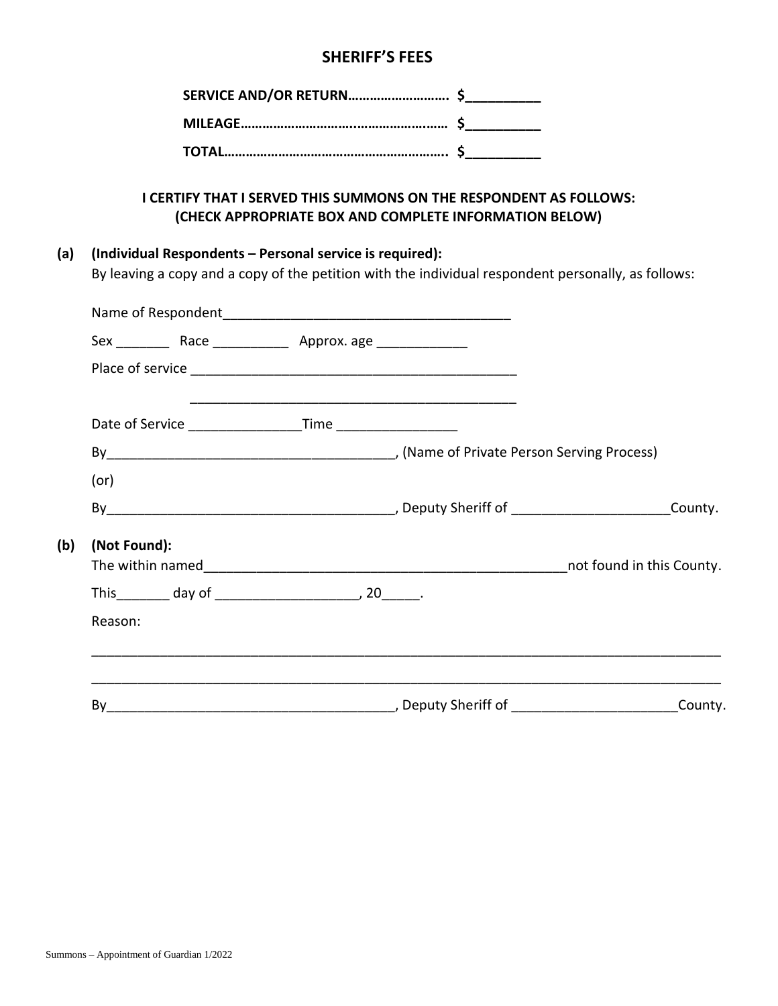## **SHERIFF'S FEES**

### **I CERTIFY THAT I SERVED THIS SUMMONS ON THE RESPONDENT AS FOLLOWS: (CHECK APPROPRIATE BOX AND COMPLETE INFORMATION BELOW)**

### **(a) (Individual Respondents – Personal service is required):**

By leaving a copy and a copy of the petition with the individual respondent personally, as follows:

|     |              | Date of Service _______________________Time _____________________ |         |
|-----|--------------|-------------------------------------------------------------------|---------|
|     |              |                                                                   |         |
|     | (or)         |                                                                   |         |
|     |              |                                                                   |         |
| (b) | (Not Found): |                                                                   |         |
|     |              |                                                                   |         |
|     |              |                                                                   |         |
|     | Reason:      |                                                                   |         |
|     |              |                                                                   |         |
|     | By           |                                                                   | County. |